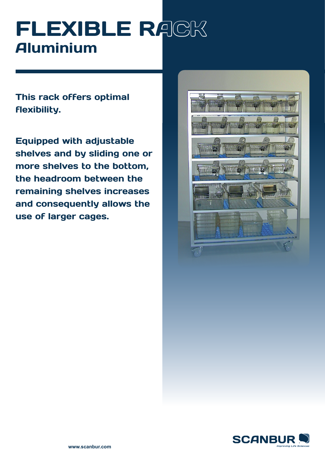# FLEXIBLE RACK Aluminium

This rack offers optimal flexibility.

Equipped with adjustable shelves and by sliding one or more shelves to the bottom, the headroom between the remaining shelves increases and consequently allows the use of larger cages.